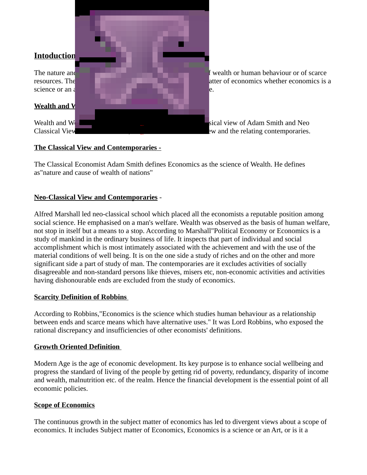

#### **The Classical View and Contemporaries -**

The Classical Economist Adam Smith defines Economics as the science of Wealth. He defines as"nature and cause of wealth of nations"

#### **Neo-Classical View and Contemporaries** -

Alfred Marshall led neo-classical school which placed all the economists a reputable position among social science. He emphasised on a man's welfare. Wealth was observed as the basis of human welfare, not stop in itself but a means to a stop. According to Marshall"Political Economy or Economics is a study of mankind in the ordinary business of life. It inspects that part of individual and social accomplishment which is most intimately associated with the achievement and with the use of the material conditions of well being. It is on the one side a study of riches and on the other and more significant side a part of study of man. The contemporaries are it excludes activities of socially disagreeable and non-standard persons like thieves, misers etc, non-economic activities and activities having dishonourable ends are excluded from the study of economics.

#### **Scarcity Definition of Robbins**

According to Robbins,"Economics is the science which studies human behaviour as a relationship between ends and scarce means which have alternative uses." It was Lord Robbins, who exposed the rational discrepancy and insufficiencies of other economists' definitions.

#### **Growth Oriented Definition**

Modern Age is the age of economic development. Its key purpose is to enhance social wellbeing and progress the standard of living of the people by getting rid of poverty, redundancy, disparity of income and wealth, malnutrition etc. of the realm. Hence the financial development is the essential point of all economic policies.

#### **Scope of Economics**

The continuous growth in the subject matter of economics has led to divergent views about a scope of economics. It includes Subject matter of Economics, Economics is a science or an Art, or is it a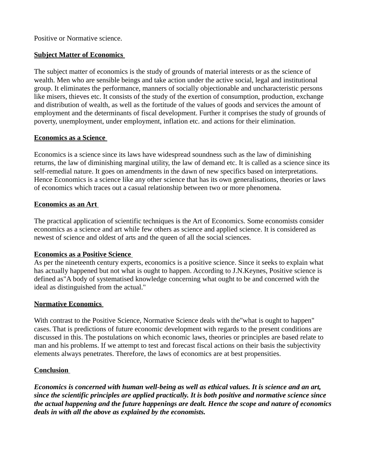Positive or Normative science.

#### **Subject Matter of Economics**

The subject matter of economics is the study of grounds of material interests or as the science of wealth. Men who are sensible beings and take action under the active social, legal and institutional group. It eliminates the performance, manners of socially objectionable and uncharacteristic persons like misers, thieves etc. It consists of the study of the exertion of consumption, production, exchange and distribution of wealth, as well as the fortitude of the values of goods and services the amount of employment and the determinants of fiscal development. Further it comprises the study of grounds of poverty, unemployment, under employment, inflation etc. and actions for their elimination.

#### **Economics as a Science**

Economics is a science since its laws have widespread soundness such as the law of diminishing returns, the law of diminishing marginal utility, the law of demand etc. It is called as a science since its self-remedial nature. It goes on amendments in the dawn of new specifics based on interpretations. Hence Economics is a science like any other science that has its own generalisations, theories or laws of economics which traces out a casual relationship between two or more phenomena.

#### **Economics as an Art**

The practical application of scientific techniques is the Art of Economics. Some economists consider economics as a science and art while few others as science and applied science. It is considered as newest of science and oldest of arts and the queen of all the social sciences.

#### **Economics as a Positive Science**

As per the nineteenth century experts, economics is a positive science. Since it seeks to explain what has actually happened but not what is ought to happen. According to J.N.Keynes, Positive science is defined as"A body of systematised knowledge concerning what ought to be and concerned with the ideal as distinguished from the actual."

#### **Normative Economics**

With contrast to the Positive Science, Normative Science deals with the"what is ought to happen" cases. That is predictions of future economic development with regards to the present conditions are discussed in this. The postulations on which economic laws, theories or principles are based relate to man and his problems. If we attempt to test and forecast fiscal actions on their basis the subjectivity elements always penetrates. Therefore, the laws of economics are at best propensities.

#### **Conclusion**

*Economics is concerned with human well-being as well as ethical values. It is science and an art, since the scientific principles are applied practically. It is both positive and normative science since the actual happening and the future happenings are dealt. Hence the scope and nature of economics deals in with all the above as explained by the economists.*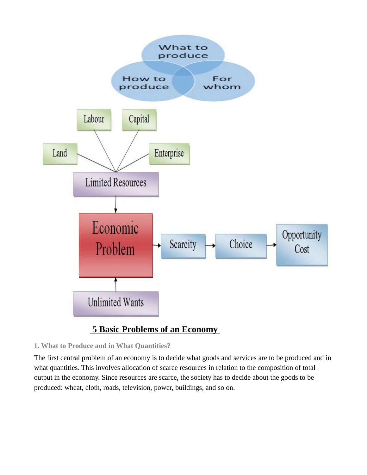

# **5 Basic Problems of an Economy**

## **1. What to Produce and in What Quantities?**

The first central problem of an economy is to decide what goods and services are to be produced and in what quantities. This involves allocation of scarce resources in relation to the composition of total output in the economy. Since resources are scarce, the society has to decide about the goods to be produced: wheat, cloth, roads, television, power, buildings, and so on.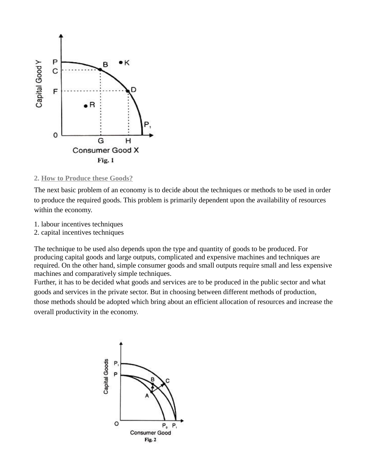

**2. How to Produce these Goods?**

The next basic problem of an economy is to decide about the techniques or methods to be used in order to produce the required goods. This problem is primarily dependent upon the availability of resources within the economy.

- 1. labour incentives techniques
- 2. capital incentives techniques

The technique to be used also depends upon the type and quantity of goods to be produced. For producing capital goods and large outputs, complicated and expensive machines and techniques are required. On the other hand, simple consumer goods and small outputs require small and less expensive machines and comparatively simple techniques.

Further, it has to be decided what goods and services are to be produced in the public sector and what goods and services in the private sector. But in choosing between different methods of production, those methods should be adopted which bring about an efficient allocation of resources and increase the overall productivity in the economy.

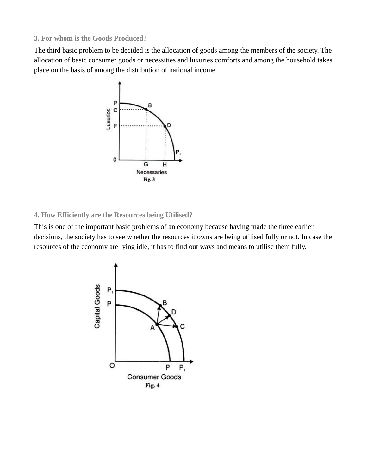**3. For whom is the Goods Produced?**

The third basic problem to be decided is the allocation of goods among the members of the society. The allocation of basic consumer goods or necessities and luxuries comforts and among the household takes place on the basis of among the distribution of national income.



**4. How Efficiently are the Resources being Utilised?**

This is one of the important basic problems of an economy because having made the three earlier decisions, the society has to see whether the resources it owns are being utilised fully or not. In case the resources of the economy are lying idle, it has to find out ways and means to utilise them fully.

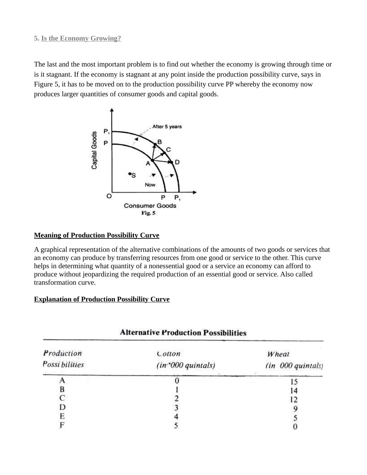#### **5. Is the Economy Growing?**

The last and the most important problem is to find out whether the economy is growing through time or is it stagnant. If the economy is stagnant at any point inside the production possibility curve, says in Figure 5, it has to be moved on to the production possibility curve PP whereby the economy now produces larger quantities of consumer goods and capital goods.



#### **Meaning of Production Possibility Curve**

A graphical representation of the alternative combinations of the amounts of two goods or services that an economy can produce by transferring resources from one good or service to the other. This curve helps in determining what quantity of a nonessential good or a service an economy can afford to produce without jeopardizing the required production of an essential good or service. Also called transformation curve.

#### **Explanation of Production Possibility Curve**

| THE PROPERTY OF THE PUBLIC PROPERTY. |                    |                   |  |
|--------------------------------------|--------------------|-------------------|--|
| Production                           | Cotton             | Wheat             |  |
| Possi bilities                       | (in *000 quintals) | (in 000 quintals) |  |
|                                      |                    |                   |  |
| В                                    |                    | 14                |  |
|                                      |                    | 12                |  |
| D                                    |                    |                   |  |
| E                                    |                    |                   |  |
|                                      |                    |                   |  |

# **Alternative Production Possibilities**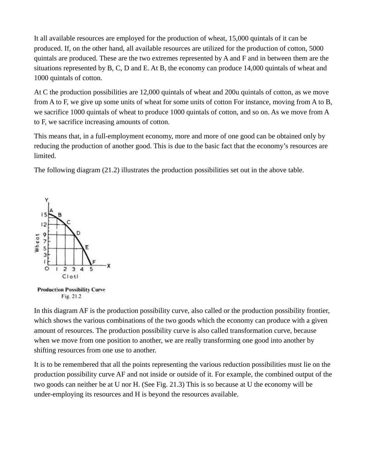It all available resources are employed for the production of wheat, 15,000 quintals of it can be produced. If, on the other hand, all available resources are utilized for the production of cotton, 5000 quintals are produced. These are the two extremes represented by A and F and in between them are the situations represented by B, C, D and E. At B, the economy can produce 14,000 quintals of wheat and 1000 quintals of cotton.

At C the production possibilities are 12,000 quintals of wheat and 200u quintals of cotton, as we move from A to F, we give up some units of wheat for some units of cotton For instance, moving from A to B, we sacrifice 1000 quintals of wheat to produce 1000 quintals of cotton, and so on. As we move from A to F, we sacrifice increasing amounts of cotton.

This means that, in a full-employment economy, more and more of one good can be obtained only by reducing the production of another good. This is due to the basic fact that the economy's resources are limited.

The following diagram (21.2) illustrates the production possibilities set out in the above table.



In this diagram AF is the production possibility curve, also called or the production possibility frontier, which shows the various combinations of the two goods which the economy can produce with a given amount of resources. The production possibility curve is also called transformation curve, because when we move from one position to another, we are really transforming one good into another by shifting resources from one use to another.

It is to be remembered that all the points representing the various reduction possibilities must lie on the production possibility curve AF and not inside or outside of it. For example, the combined output of the two goods can neither be at U nor H. (See Fig. 21.3) This is so because at U the economy will be under-employing its resources and H is beyond the resources available.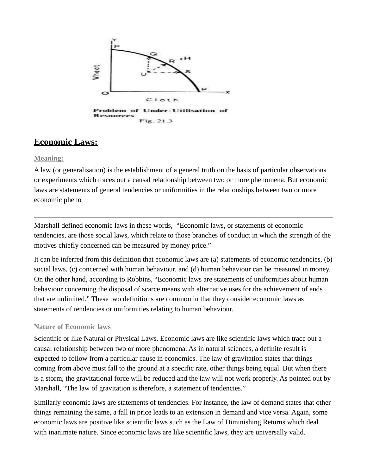

# **Economic Laws:**

#### **Meaning:**

A law (or generalisation) is the establishment of a general truth on the basis of particular observations or experiments which traces out a causal relationship between two or more phenomena. But economic laws are statements of general tendencies or uniformities in the relationships between two or more economic pheno

Marshall defined economic laws in these words, "Economic laws, or statements of economic tendencies, are those social laws, which relate to those branches of conduct in which the strength of the motives chiefly concerned can be measured by money price."

It can be inferred from this definition that economic laws are (a) statements of economic tendencies, (b) social laws, (c) concerned with human behaviour, and (d) human behaviour can be measured in money. On the other hand, according to Robbins, "Economic laws are statements of uniformities about human behaviour concerning the disposal of scarce means with alternative uses for the achievement of ends that are unlimited." These two definitions are common in that they consider economic laws as statements of tendencies or uniformities relating to human behaviour.

## **Nature of Economic laws**

Scientific or like Natural or Physical Laws. Economic laws are like scientific laws which trace out a causal relationship between two or more phenomena. As in natural sciences, a definite result is expected to follow from a particular cause in economics. The law of gravitation states that things coming from above must fall to the ground at a specific rate, other things being equal. But when there is a storm, the gravitational force will be reduced and the law will not work properly. As pointed out by Marshall, "The law of gravitation is therefore, a statement of tendencies."

Similarly economic laws are statements of tendencies. For instance, the law of demand states that other things remaining the same, a fall in price leads to an extension in demand and vice versa. Again, some economic laws are positive like scientific laws such as the Law of Diminishing Returns which deal with inanimate nature. Since economic laws are like scientific laws, they are universally valid.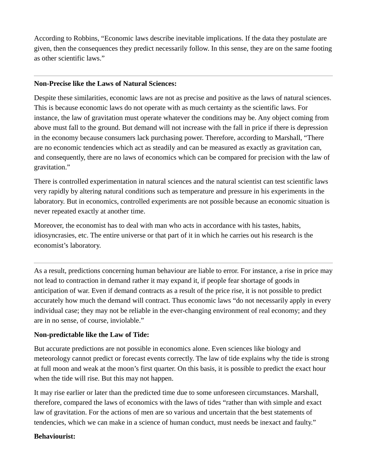According to Robbins, "Economic laws describe inevitable implications. If the data they postulate are given, then the consequences they predict necessarily follow. In this sense, they are on the same footing as other scientific laws."

#### **Non-Precise like the Laws of Natural Sciences:**

Despite these similarities, economic laws are not as precise and positive as the laws of natural sciences. This is because economic laws do not operate with as much certainty as the scientific laws. For instance, the law of gravitation must operate whatever the conditions may be. Any object coming from above must fall to the ground. But demand will not increase with the fall in price if there is depression in the economy because consumers lack purchasing power. Therefore, according to Marshall, "There are no economic tendencies which act as steadily and can be measured as exactly as gravitation can, and consequently, there are no laws of economics which can be compared for precision with the law of gravitation."

There is controlled experimentation in natural sciences and the natural scientist can test scientific laws very rapidly by altering natural conditions such as temperature and pressure in his experiments in the laboratory. But in economics, controlled experiments are not possible because an economic situation is never repeated exactly at another time.

Moreover, the economist has to deal with man who acts in accordance with his tastes, habits, idiosyncrasies, etc. The entire universe or that part of it in which he carries out his research is the economist's laboratory.

As a result, predictions concerning human behaviour are liable to error. For instance, a rise in price may not lead to contraction in demand rather it may expand it, if people fear shortage of goods in anticipation of war. Even if demand contracts as a result of the price rise, it is not possible to predict accurately how much the demand will contract. Thus economic laws "do not necessarily apply in every individual case; they may not be reliable in the ever-changing environment of real economy; and they are in no sense, of course, inviolable."

#### **Non-predictable like the Law of Tide:**

But accurate predictions are not possible in economics alone. Even sciences like biology and meteorology cannot predict or forecast events correctly. The law of tide explains why the tide is strong at full moon and weak at the moon's first quarter. On this basis, it is possible to predict the exact hour when the tide will rise. But this may not happen.

It may rise earlier or later than the predicted time due to some unforeseen circumstances. Marshall, therefore, compared the laws of economics with the laws of tides "rather than with simple and exact law of gravitation. For the actions of men are so various and uncertain that the best statements of tendencies, which we can make in a science of human conduct, must needs be inexact and faulty."

#### **Behaviourist:**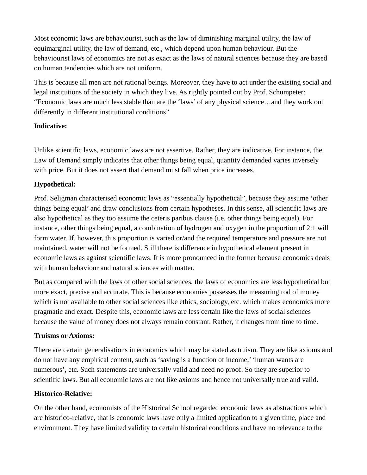Most economic laws are behaviourist, such as the law of diminishing marginal utility, the law of equimarginal utility, the law of demand, etc., which depend upon human behaviour. But the behaviourist laws of economics are not as exact as the laws of natural sciences because they are based on human tendencies which are not uniform.

This is because all men are not rational beings. Moreover, they have to act under the existing social and legal institutions of the society in which they live. As rightly pointed out by Prof. Schumpeter: "Economic laws are much less stable than are the 'laws' of any physical science…and they work out differently in different institutional conditions"

#### **Indicative:**

Unlike scientific laws, economic laws are not assertive. Rather, they are indicative. For instance, the Law of Demand simply indicates that other things being equal, quantity demanded varies inversely with price. But it does not assert that demand must fall when price increases.

## **Hypothetical:**

Prof. Seligman characterised economic laws as "essentially hypothetical", because they assume 'other things being equal' and draw conclusions from certain hypotheses. In this sense, all scientific laws are also hypothetical as they too assume the ceteris paribus clause (i.e. other things being equal). For instance, other things being equal, a combination of hydrogen and oxygen in the proportion of 2:1 will form water. If, however, this proportion is varied or/and the required temperature and pressure are not maintained, water will not be formed. Still there is difference in hypothetical element present in economic laws as against scientific laws. It is more pronounced in the former because economics deals with human behaviour and natural sciences with matter.

But as compared with the laws of other social sciences, the laws of economics are less hypothetical but more exact, precise and accurate. This is because economies possesses the measuring rod of money which is not available to other social sciences like ethics, sociology, etc. which makes economics more pragmatic and exact. Despite this, economic laws are less certain like the laws of social sciences because the value of money does not always remain constant. Rather, it changes from time to time.

#### **Truisms or Axioms:**

There are certain generalisations in economics which may be stated as truism. They are like axioms and do not have any empirical content, such as 'saving is a function of income,' 'human wants are numerous', etc. Such statements are universally valid and need no proof. So they are superior to scientific laws. But all economic laws are not like axioms and hence not universally true and valid.

#### **Historico-Relative:**

On the other hand, economists of the Historical School regarded economic laws as abstractions which are historico-relative, that is economic laws have only a limited application to a given time, place and environment. They have limited validity to certain historical conditions and have no relevance to the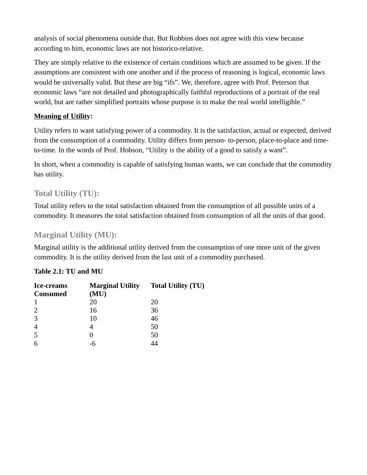analysis of social phenomena outside that. But Robbins does not agree with this view because according to him, economic laws are not historico-relative.

They are simply relative to the existence of certain conditions which are assumed to be given. If the assumptions are consistent with one another and if the process of reasoning is logical, economic laws would be universally valid. But these are big "ifs". We, therefore, agree with Prof. Peterson that economic laws "are not detailed and photographically faithful reproductions of a portrait of the real world, but are rather simplified portraits whose purpose is to make the real world intelligible."

## **Meaning of Utility:**

Utility refers to want satisfying power of a commodity. It is the satisfaction, actual or expected, derived from the consumption of a commodity. Utility differs from person- to-person, place-to-place and timeto-time. In the words of Prof. Hobson, "Utility is the ability of a good to satisfy a want".

In short, when a commodity is capable of satisfying human wants, we can conclude that the commodity has utility.

# **Total Utility (TU):**

Total utility refers to the total satisfaction obtained from the consumption of all possible units of a commodity. It measures the total satisfaction obtained from consumption of all the units of that good.

# **Marginal Utility (MU):**

Marginal utility is the additional utility derived from the consumption of one more unit of the given commodity. It is the utility derived from the last unit of a commodity purchased.

## **Table 2.1: TU and MU**

| Ice-creams<br><b>Consumed</b> | <b>Marginal Utility</b><br>(MU) | <b>Total Utility (TU)</b> |
|-------------------------------|---------------------------------|---------------------------|
|                               | 20                              | 20                        |
|                               | 16                              | 36                        |
| 3                             | 10                              | 46                        |
|                               |                                 | 50                        |
| 5                             |                                 | 50                        |
|                               |                                 |                           |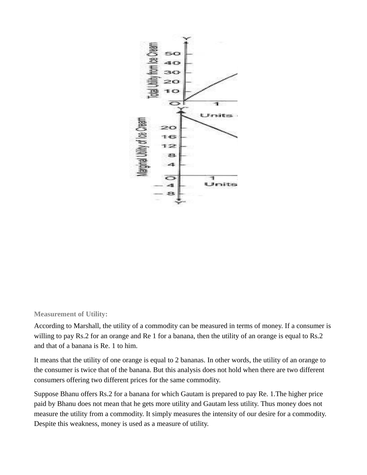

**Measurement of Utility:**

According to Marshall, the utility of a commodity can be measured in terms of money. If a consumer is willing to pay Rs.2 for an orange and Re 1 for a banana, then the utility of an orange is equal to Rs.2 and that of a banana is Re. 1 to him.

It means that the utility of one orange is equal to 2 bananas. In other words, the utility of an orange to the consumer is twice that of the banana. But this analysis does not hold when there are two different consumers offering two different prices for the same commodity.

Suppose Bhanu offers Rs.2 for a banana for which Gautam is prepared to pay Re. 1.The higher price paid by Bhanu does not mean that he gets more utility and Gautam less utility. Thus money does not measure the utility from a commodity. It simply measures the intensity of our desire for a commodity. Despite this weakness, money is used as a measure of utility.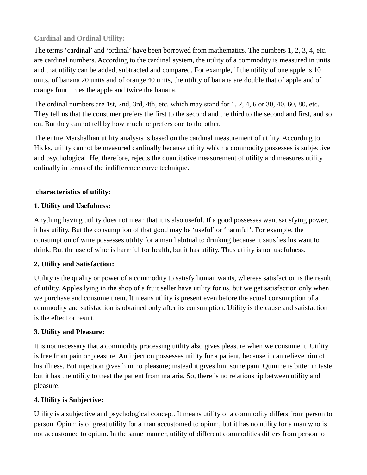# **Cardinal and Ordinal Utility:**

The terms 'cardinal' and 'ordinal' have been borrowed from mathematics. The numbers 1, 2, 3, 4, etc. are cardinal numbers. According to the cardinal system, the utility of a commodity is measured in units and that utility can be added, subtracted and compared. For example, if the utility of one apple is 10 units, of banana 20 units and of orange 40 units, the utility of banana are double that of apple and of orange four times the apple and twice the banana.

The ordinal numbers are 1st, 2nd, 3rd, 4th, etc. which may stand for 1, 2, 4, 6 or 30, 40, 60, 80, etc. They tell us that the consumer prefers the first to the second and the third to the second and first, and so on. But they cannot tell by how much he prefers one to the other.

The entire Marshallian utility analysis is based on the cardinal measurement of utility. According to Hicks, utility cannot be measured cardinally because utility which a commodity possesses is subjective and psychological. He, therefore, rejects the quantitative measurement of utility and measures utility ordinally in terms of the indifference curve technique.

## **characteristics of utility:**

#### **1. Utility and Usefulness:**

Anything having utility does not mean that it is also useful. If a good possesses want satisfying power, it has utility. But the consumption of that good may be 'useful' or 'harmful'. For example, the consumption of wine possesses utility for a man habitual to drinking because it satisfies his want to drink. But the use of wine is harmful for health, but it has utility. Thus utility is not usefulness.

## **2. Utility and Satisfaction:**

Utility is the quality or power of a commodity to satisfy human wants, whereas satisfaction is the result of utility. Apples lying in the shop of a fruit seller have utility for us, but we get satisfaction only when we purchase and consume them. It means utility is present even before the actual consumption of a commodity and satisfaction is obtained only after its consumption. Utility is the cause and satisfaction is the effect or result.

## **3. Utility and Pleasure:**

It is not necessary that a commodity processing utility also gives pleasure when we consume it. Utility is free from pain or pleasure. An injection possesses utility for a patient, because it can relieve him of his illness. But injection gives him no pleasure; instead it gives him some pain. Quinine is bitter in taste but it has the utility to treat the patient from malaria. So, there is no relationship between utility and pleasure.

## **4. Utility is Subjective:**

Utility is a subjective and psychological concept. It means utility of a commodity differs from person to person. Opium is of great utility for a man accustomed to opium, but it has no utility for a man who is not accustomed to opium. In the same manner, utility of different commodities differs from person to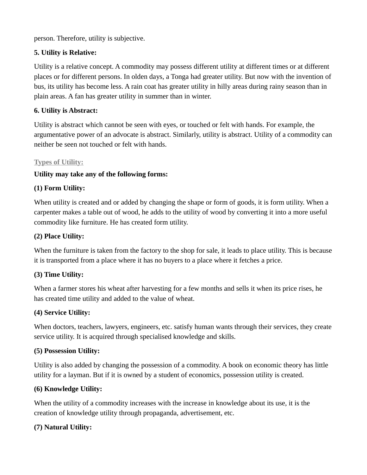person. Therefore, utility is subjective.

# **5. Utility is Relative:**

Utility is a relative concept. A commodity may possess different utility at different times or at different places or for different persons. In olden days, a Tonga had greater utility. But now with the invention of bus, its utility has become less. A rain coat has greater utility in hilly areas during rainy season than in plain areas. A fan has greater utility in summer than in winter.

## **6. Utility is Abstract:**

Utility is abstract which cannot be seen with eyes, or touched or felt with hands. For example, the argumentative power of an advocate is abstract. Similarly, utility is abstract. Utility of a commodity can neither be seen not touched or felt with hands.

## **Types of Utility:**

# **Utility may take any of the following forms:**

# **(1) Form Utility:**

When utility is created and or added by changing the shape or form of goods, it is form utility. When a carpenter makes a table out of wood, he adds to the utility of wood by converting it into a more useful commodity like furniture. He has created form utility.

# **(2) Place Utility:**

When the furniture is taken from the factory to the shop for sale, it leads to place utility. This is because it is transported from a place where it has no buyers to a place where it fetches a price.

# **(3) Time Utility:**

When a farmer stores his wheat after harvesting for a few months and sells it when its price rises, he has created time utility and added to the value of wheat.

## **(4) Service Utility:**

When doctors, teachers, lawyers, engineers, etc. satisfy human wants through their services, they create service utility. It is acquired through specialised knowledge and skills.

## **(5) Possession Utility:**

Utility is also added by changing the possession of a commodity. A book on economic theory has little utility for a layman. But if it is owned by a student of economics, possession utility is created.

# **(6) Knowledge Utility:**

When the utility of a commodity increases with the increase in knowledge about its use, it is the creation of knowledge utility through propaganda, advertisement, etc.

# **(7) Natural Utility:**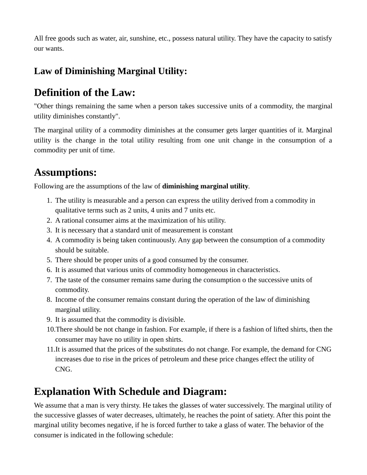All free goods such as water, air, sunshine, etc., possess natural utility. They have the capacity to satisfy our wants.

# **Law of Diminishing Marginal Utility:**

# **Definition of the Law:**

"Other things remaining the same when a person takes successive units of a commodity, the marginal utility diminishes constantly".

The marginal utility of a commodity diminishes at the consumer gets larger quantities of it. Marginal utility is the change in the total utility resulting from one unit change in the consumption of a commodity per unit of time.

# **Assumptions:**

Following are the assumptions of the law of **diminishing marginal utility**.

- 1. The utility is measurable and a person can express the utility derived from a commodity in qualitative terms such as 2 units, 4 units and 7 units etc.
- 2. A rational consumer aims at the maximization of his utility.
- 3. It is necessary that a standard unit of measurement is constant
- 4. A commodity is being taken continuously. Any gap between the consumption of a commodity should be suitable.
- 5. There should be proper units of a good consumed by the consumer.
- 6. It is assumed that various units of commodity homogeneous in characteristics.
- 7. The taste of the consumer remains same during the consumption o the successive units of commodity.
- 8. Income of the consumer remains constant during the operation of the law of diminishing marginal utility.
- 9. It is assumed that the commodity is divisible.
- 10.There should be not change in fashion. For example, if there is a fashion of lifted shirts, then the consumer may have no utility in open shirts.
- 11.It is assumed that the prices of the substitutes do not change. For example, the demand for CNG increases due to rise in the prices of petroleum and these price changes effect the utility of CNG.

# **Explanation With Schedule and Diagram:**

We assume that a man is very thirsty. He takes the glasses of water successively. The marginal utility of the successive glasses of water decreases, ultimately, he reaches the point of satiety. After this point the marginal utility becomes negative, if he is forced further to take a glass of water. The behavior of the consumer is indicated in the following schedule: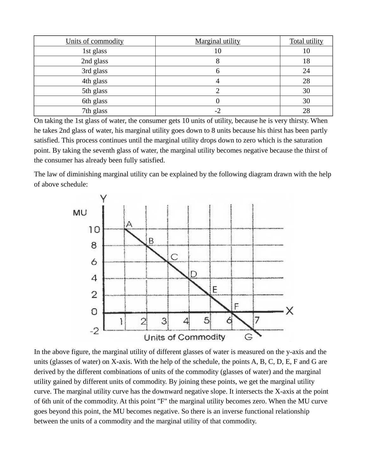| Units of commodity | <b>Marginal utility</b> | <b>Total utility</b> |
|--------------------|-------------------------|----------------------|
| 1st glass          | 10                      | 10                   |
| 2nd glass          |                         | 18                   |
| 3rd glass          | n                       | 24                   |
| 4th glass          |                         | 28                   |
| 5th glass          |                         | 30                   |
| 6th glass          |                         | 30                   |
| 7th glass          |                         | 28                   |

On taking the 1st glass of water, the consumer gets 10 units of utility, because he is very thirsty. When he takes 2nd glass of water, his marginal utility goes down to 8 units because his thirst has been partly satisfied. This process continues until the marginal utility drops down to zero which is the saturation point. By taking the seventh glass of water, the marginal utility becomes negative because the thirst of the consumer has already been fully satisfied.

The law of diminishing marginal utility can be explained by the following diagram drawn with the help of above schedule:



In the above figure, the marginal utility of different glasses of water is measured on the y-axis and the units (glasses of water) on X-axis. With the help of the schedule, the points A, B, C, D, E, F and G are derived by the different combinations of units of the commodity (glasses of water) and the marginal utility gained by different units of commodity. By joining these points, we get the marginal utility curve. The marginal utility curve has the downward negative slope. It intersects the X-axis at the point of 6th unit of the commodity. At this point "F" the marginal utility becomes zero. When the MU curve goes beyond this point, the MU becomes negative. So there is an inverse functional relationship between the units of a commodity and the marginal utility of that commodity.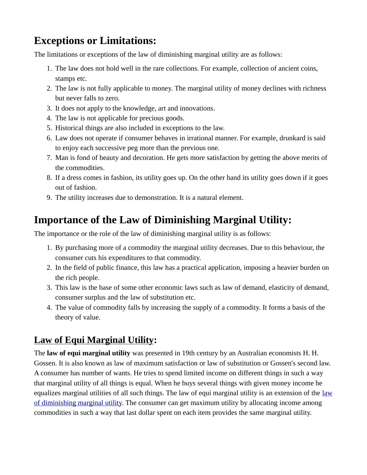# **Exceptions or Limitations:**

The limitations or exceptions of the law of diminishing marginal utility are as follows:

- 1. The law does not hold well in the rare collections. For example, collection of ancient coins, stamps etc.
- 2. The law is not fully applicable to money. The marginal utility of money declines with richness but never falls to zero.
- 3. It does not apply to the knowledge, art and innovations.
- 4. The law is not applicable for precious goods.
- 5. Historical things are also included in exceptions to the law.
- 6. Law does not operate if consumer behaves in irrational manner. For example, drunkard is said to enjoy each successive peg more than the previous one.
- 7. Man is fond of beauty and decoration. He gets more satisfaction by getting the above merits of the commodities.
- 8. If a dress comes in fashion, its utility goes up. On the other hand its utility goes down if it goes out of fashion.
- 9. The utility increases due to demonstration. It is a natural element.

# **Importance of the Law of Diminishing Marginal Utility:**

The importance or the role of the law of diminishing marginal utility is as follows:

- 1. By purchasing more of a commodity the marginal utility decreases. Due to this behaviour, the consumer cuts his expenditures to that commodity.
- 2. In the field of public finance, this law has a practical application, imposing a heavier burden on the rich people.
- 3. This law is the base of some other economic laws such as law of demand, elasticity of demand, consumer surplus and the law of substitution etc.
- 4. The value of commodity falls by increasing the supply of a commodity. It forms a basis of the theory of value.

# **Law of Equi Marginal Utility:**

The **law of equi marginal utility** was presented in 19th century by an Australian economists H. H. Gossen. It is also known as law of maximum satisfaction or law of substitution or Gossen's second law. A consumer has number of wants. He tries to spend limited income on different things in such a way that marginal utility of all things is equal. When he buys several things with given money income he equalizes marginal utilities of all such things. The law of equi marginal utility is an extension of the [law](http://www.managedstudy.com/micro/law_of_diminishing_marginal_utility.htm) [of diminishing marginal utility.](http://www.managedstudy.com/micro/law_of_diminishing_marginal_utility.htm) The consumer can get maximum utility by allocating income among commodities in such a way that last dollar spent on each item provides the same marginal utility.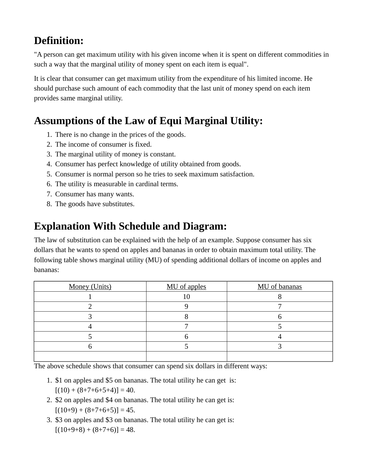# **Definition:**

"A person can get maximum utility with his given income when it is spent on different commodities in such a way that the marginal utility of money spent on each item is equal".

It is clear that consumer can get maximum utility from the expenditure of his limited income. He should purchase such amount of each commodity that the last unit of money spend on each item provides same marginal utility.

# **Assumptions of the Law of Equi Marginal Utility:**

- 1. There is no change in the prices of the goods.
- 2. The income of consumer is fixed.
- 3. The marginal utility of money is constant.
- 4. Consumer has perfect knowledge of utility obtained from goods.
- 5. Consumer is normal person so he tries to seek maximum satisfaction.
- 6. The utility is measurable in cardinal terms.
- 7. Consumer has many wants.
- 8. The goods have substitutes.

# **Explanation With Schedule and Diagram:**

The law of substitution can be explained with the help of an example. Suppose consumer has six dollars that he wants to spend on apples and bananas in order to obtain maximum total utility. The following table shows marginal utility (MU) of spending additional dollars of income on apples and bananas:

| Money (Units) | <b>MU</b> of apples | MU of bananas |
|---------------|---------------------|---------------|
|               |                     |               |
|               |                     |               |
|               |                     |               |
|               |                     |               |
|               |                     |               |
|               |                     |               |
|               |                     |               |

The above schedule shows that consumer can spend six dollars in different ways:

- 1. \$1 on apples and \$5 on bananas. The total utility he can get is:  $[(10) + (8+7+6+5+4)] = 40.$
- 2. \$2 on apples and \$4 on bananas. The total utility he can get is:  $[(10+9) + (8+7+6+5)] = 45.$
- 3. \$3 on apples and \$3 on bananas. The total utility he can get is:  $[(10+9+8) + (8+7+6)] = 48.$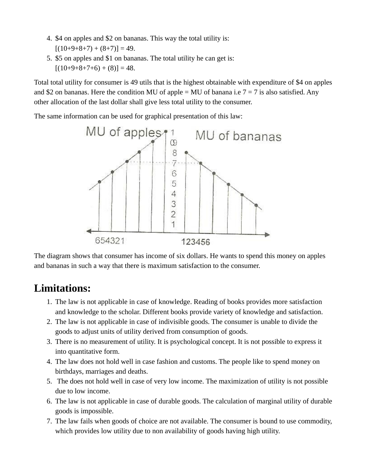- 4. \$4 on apples and \$2 on bananas. This way the total utility is:  $[(10+9+8+7) + (8+7)] = 49.$
- 5. \$5 on apples and \$1 on bananas. The total utility he can get is:  $[(10+9+8+7+6) + (8)] = 48.$

Total total utility for consumer is 49 utils that is the highest obtainable with expenditure of \$4 on apples and \$2 on bananas. Here the condition MU of apple = MU of banana i.e  $7 = 7$  is also satisfied. Any other allocation of the last dollar shall give less total utility to the consumer.

The same information can be used for graphical presentation of this law:



The diagram shows that consumer has income of six dollars. He wants to spend this money on apples and bananas in such a way that there is maximum satisfaction to the consumer.

# **Limitations:**

- 1. The law is not applicable in case of knowledge. Reading of books provides more satisfaction and knowledge to the scholar. Different books provide variety of knowledge and satisfaction.
- 2. The law is not applicable in case of indivisible goods. The consumer is unable to divide the goods to adjust units of utility derived from consumption of goods.
- 3. There is no measurement of utility. It is psychological concept. It is not possible to express it into quantitative form.
- 4. The law does not hold well in case fashion and customs. The people like to spend money on birthdays, marriages and deaths.
- 5. The does not hold well in case of very low income. The maximization of utility is not possible due to low income.
- 6. The law is not applicable in case of durable goods. The calculation of marginal utility of durable goods is impossible.
- 7. The law fails when goods of choice are not available. The consumer is bound to use commodity, which provides low utility due to non availability of goods having high utility.